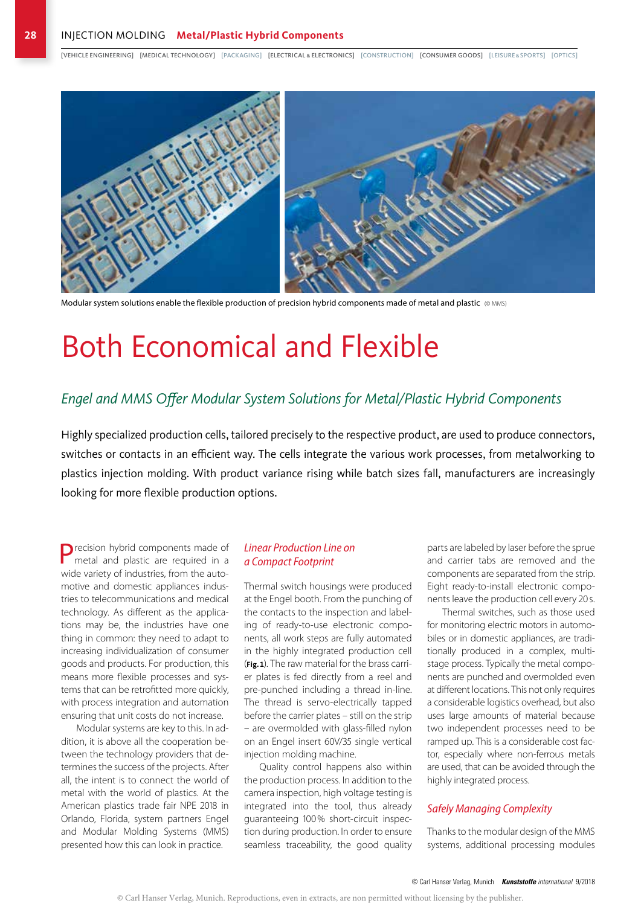[VEHICLE ENGINEERING] [MEDICAL TECHNOLOGY] [PACKAGING] [ELECTRICAL & ELECTRONICS] [CONSTRUCTION] [CONSUMER GOODS] [LEISURE&SPORTS] [OPTICS]



Modular system solutions enable the flexible production of precision hybrid components made of metal and plastic (© MMS)

# Both Economical and Flexible

#### Engel and MMS Offer Modular System Solutions for Metal/Plastic Hybrid Components

Highly specialized production cells, tailored precisely to the respective product, are used to produce connectors, switches or contacts in an efficient way. The cells integrate the various work processes, from metalworking to plastics injection molding. With product variance rising while batch sizes fall, manufacturers are increasingly looking for more flexible production options.

Precision hybrid components made of metal and plastic are required in a wide variety of industries, from the automotive and domestic appliances industries to telecommunications and medical technology. As different as the applications may be, the industries have one thing in common: they need to adapt to increasing individualization of consumer goods and products. For production, this means more flexible processes and systems that can be retrofitted more quickly, with process integration and automation ensuring that unit costs do not increase.

Modular systems are key to this. In addition, it is above all the cooperation between the technology providers that determines the success of the projects. After all, the intent is to connect the world of metal with the world of plastics. At the American plastics trade fair NPE 2018 in Orlando, Florida, system partners Engel and Modular Molding Systems (MMS) presented how this can look in practice.

#### *Linear Production Line on a Compact Footprint*

Thermal switch housings were produced at the Engel booth. From the punching of the contacts to the inspection and labeling of ready-to-use electronic components, all work steps are fully automated in the highly integrated production cell (**Fig.1**). The raw material for the brass carrier plates is fed directly from a reel and pre-punched including a thread in-line. The thread is servo-electrically tapped before the carrier plates – still on the strip – are overmolded with glass-filled nylon on an Engel insert 60V/35 single vertical injection molding machine.

Quality control happens also within the production process. In addition to the camera inspection, high voltage testing is integrated into the tool, thus already guaranteeing 100% short-circuit inspection during production. In order to ensure seamless traceability, the good quality

parts are labeled by laser before the sprue and carrier tabs are removed and the components are separated from the strip. Eight ready-to-install electronic components leave the production cell every 20 s.

Thermal switches, such as those used for monitoring electric motors in automobiles or in domestic appliances, are traditionally produced in a complex, multistage process. Typically the metal components are punched and overmolded even at different locations. This not only requires a considerable logistics overhead, but also uses large amounts of material because two independent processes need to be ramped up. This is a considerable cost factor, especially where non-ferrous metals are used, that can be avoided through the highly integrated process.

#### *Safely Managing Complexity*

Thanks to the modular design of the MMS systems, additional processing modules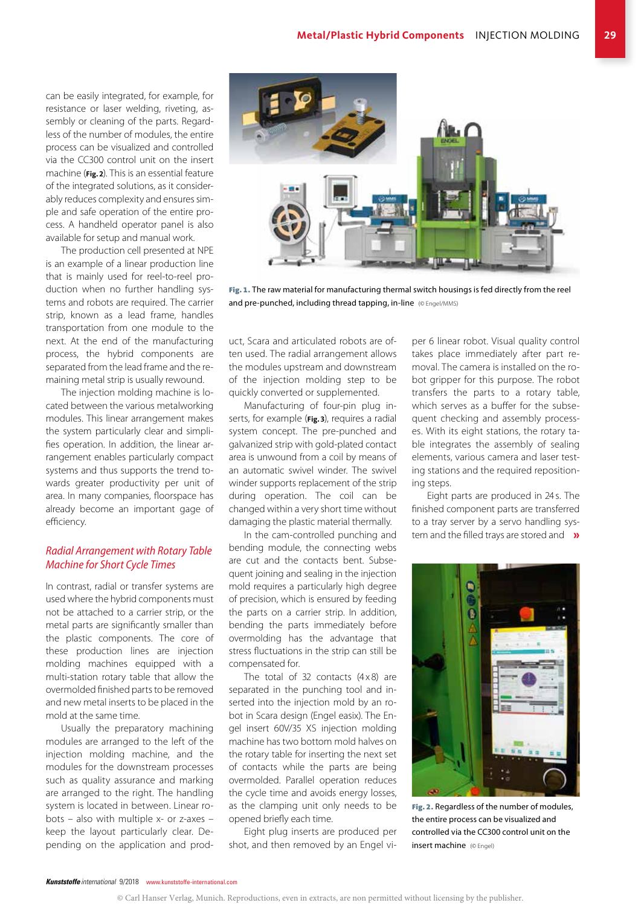can be easily integrated, for example, for resistance or laser welding, riveting, assembly or cleaning of the parts. Regardless of the number of modules, the entire process can be visualized and controlled via the CC300 control unit on the insert machine (**Fig.2**). This is an essential feature of the integrated solutions, as it considerably reduces complexity and ensures simple and safe operation of the entire process. A handheld operator panel is also available for setup and manual work.

The production cell presented at NPE is an example of a linear production line that is mainly used for reel-to-reel production when no further handling systems and robots are required. The carrier strip, known as a lead frame, handles transportation from one module to the next. At the end of the manufacturing process, the hybrid components are separated from the lead frame and the remaining metal strip is usually rewound.

The injection molding machine is located between the various metalworking modules. This linear arrangement makes the system particularly clear and simplifies operation. In addition, the linear arrangement enables particularly compact systems and thus supports the trend towards greater productivity per unit of area. In many companies, floorspace has already become an important gage of efficiency.

#### *Radial Arrangement with Rotary Table Machine for Short Cycle Times*

In contrast, radial or transfer systems are used where the hybrid components must not be attached to a carrier strip, or the metal parts are significantly smaller than the plastic components. The core of these production lines are injection molding machines equipped with a multi-station rotary table that allow the overmolded finished parts to be removed and new metal inserts to be placed in the mold at the same time.

Usually the preparatory machining modules are arranged to the left of the injection molding machine, and the modules for the downstream processes such as quality assurance and marking are arranged to the right. The handling system is located in between. Linear robots – also with multiple x- or z-axes – keep the layout particularly clear. Depending on the application and prod-



Fig. 1. The raw material for manufacturing thermal switch housings is fed directly from the reel and pre-punched, including thread tapping, in-line (© Engel/MMS)

uct, Scara and articulated robots are often used. The radial arrangement allows the modules upstream and downstream of the injection molding step to be quickly converted or supplemented.

Manufacturing of four-pin plug inserts, for example (**Fig.3**), requires a radial system concept. The pre-punched and galvanized strip with gold-plated contact area is unwound from a coil by means of an automatic swivel winder. The swivel winder supports replacement of the strip during operation. The coil can be changed within a very short time without damaging the plastic material thermally.

In the cam-controlled punching and bending module, the connecting webs are cut and the contacts bent. Subsequent joining and sealing in the injection mold requires a particularly high degree of precision, which is ensured by feeding the parts on a carrier strip. In addition, bending the parts immediately before overmolding has the advantage that stress fluctuations in the strip can still be compensated for.

The total of 32 contacts  $(4 \times 8)$  are separated in the punching tool and inserted into the injection mold by an robot in Scara design (Engel easix). The Engel insert 60V/35 XS injection molding machine has two bottom mold halves on the rotary table for inserting the next set of contacts while the parts are being overmolded. Parallel operation reduces the cycle time and avoids energy losses, as the clamping unit only needs to be opened briefly each time.

Eight plug inserts are produced per shot, and then removed by an Engel vi-

per 6 linear robot. Visual quality control takes place immediately after part removal. The camera is installed on the robot gripper for this purpose. The robot transfers the parts to a rotary table, which serves as a buffer for the subsequent checking and assembly processes. With its eight stations, the rotary table integrates the assembly of sealing elements, various camera and laser testing stations and the required repositioning steps.

Eight parts are produced in 24 s. The finished component parts are transferred to a tray server by a servo handling system and the filled trays are stored and »



Fig. 2. Regardless of the number of modules, the entire process can be visualized and controlled via the CC300 control unit on the insert machine (© Engel)